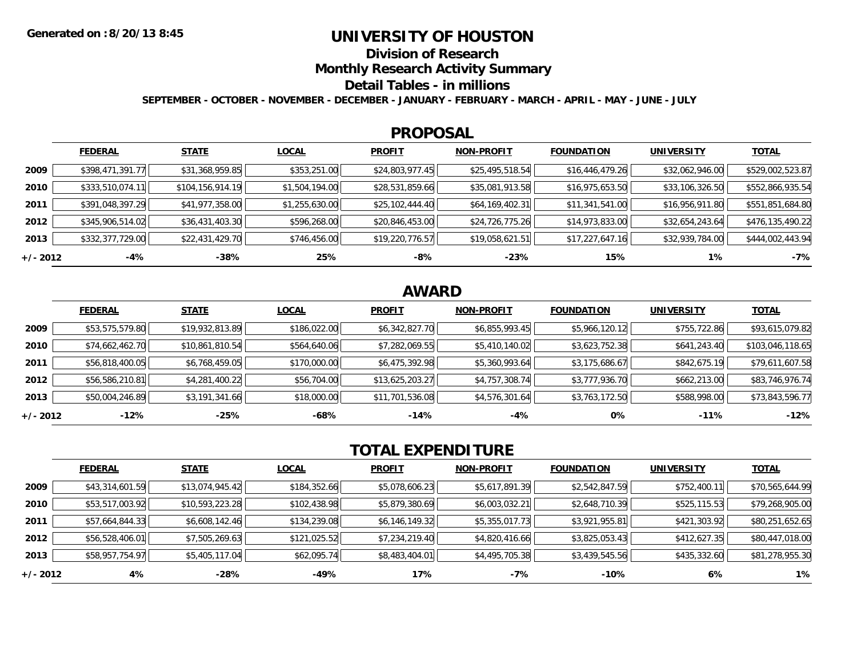## **UNIVERSITY OF HOUSTON**

**Division of Research**

**Monthly Research Activity Summary**

### **Detail Tables - in millions**

**SEPTEMBER - OCTOBER - NOVEMBER - DECEMBER - JANUARY - FEBRUARY - MARCH - APRIL - MAY - JUNE - JULY**

#### **PROPOSAL**

|            | <b>FEDERAL</b>   | <b>STATE</b>       | <b>LOCAL</b>   | <b>PROFIT</b>   | <b>NON-PROFIT</b> | <b>FOUNDATION</b> | <b>UNIVERSITY</b> | <u>TOTAL</u>     |
|------------|------------------|--------------------|----------------|-----------------|-------------------|-------------------|-------------------|------------------|
| 2009       | \$398,471,391.77 | \$31,368,959.85    | \$353,251.00   | \$24,803,977.45 | \$25,495,518.54   | \$16,446,479.26   | \$32,062,946.00   | \$529,002,523.87 |
| 2010       | \$333,510,074.11 | \$104, 156, 914.19 | \$1,504,194.00 | \$28,531,859.66 | \$35,081,913.58   | \$16,975,653.50   | \$33,106,326.50   | \$552,866,935.54 |
| 2011       | \$391,048,397.29 | \$41,977,358.00    | \$1,255,630.00 | \$25,102,444.40 | \$64,169,402.31   | \$11,341,541.00   | \$16,956,911.80   | \$551,851,684.80 |
| 2012       | \$345,906,514.02 | \$36,431,403.30    | \$596,268.00   | \$20,846,453.00 | \$24,726,775.26   | \$14,973,833.00   | \$32,654,243.64   | \$476,135,490.22 |
| 2013       | \$332,377,729.00 | \$22,431,429.70    | \$746,456.00   | \$19,220,776.57 | \$19,058,621.51   | \$17,227,647.16   | \$32,939,784.00   | \$444,002,443.94 |
| $+/- 2012$ | -4%              | -38%               | 25%            | -8%             | $-23%$            | 15%               | 1%                | $-7%$            |

# **AWARD**

|          | <b>FEDERAL</b>  | <b>STATE</b>    | <b>LOCAL</b> | <b>PROFIT</b>   | <b>NON-PROFIT</b> | <b>FOUNDATION</b> | <b>UNIVERSITY</b> | <b>TOTAL</b>     |
|----------|-----------------|-----------------|--------------|-----------------|-------------------|-------------------|-------------------|------------------|
| 2009     | \$53,575,579.80 | \$19,932,813.89 | \$186,022.00 | \$6,342,827.70  | \$6,855,993.45    | \$5,966,120.12    | \$755,722.86      | \$93,615,079.82  |
| 2010     | \$74,662,462.70 | \$10,861,810.54 | \$564,640.06 | \$7,282,069.55  | \$5,410,140.02    | \$3,623,752.38    | \$641,243.40      | \$103,046,118.65 |
| 2011     | \$56,818,400.05 | \$6,768,459.05  | \$170,000.00 | \$6,475,392.98  | \$5,360,993.64    | \$3,175,686.67    | \$842,675.19      | \$79,611,607.58  |
| 2012     | \$56,586,210.81 | \$4,281,400.22  | \$56,704.00  | \$13,625,203.27 | \$4,757,308.74    | \$3,777,936.70    | \$662,213.00      | \$83,746,976.74  |
| 2013     | \$50,004,246.89 | \$3,191,341.66  | \$18,000.00  | \$11,701,536.08 | \$4,576,301.64    | \$3,763,172.50    | \$588,998.00      | \$73,843,596.77  |
| +/- 2012 | $-12%$          | $-25%$          | -68%         | $-14%$          | $-4%$             | 0%                | $-11%$            | $-12%$           |

# **TOTAL EXPENDITURE**

|            | <b>FEDERAL</b>  | <b>STATE</b>    | <b>LOCAL</b> | <b>PROFIT</b>  | <b>NON-PROFIT</b> | <b>FOUNDATION</b> | <b>UNIVERSITY</b> | <b>TOTAL</b>    |
|------------|-----------------|-----------------|--------------|----------------|-------------------|-------------------|-------------------|-----------------|
| 2009       | \$43,314,601.59 | \$13,074,945.42 | \$184,352.66 | \$5,078,606.23 | \$5,617,891.39    | \$2,542,847.59    | \$752,400.11      | \$70,565,644.99 |
| 2010       | \$53,517,003.92 | \$10,593,223.28 | \$102,438.98 | \$5,879,380.69 | \$6,003,032.21    | \$2,648,710.39    | \$525,115.53      | \$79,268,905.00 |
| 2011       | \$57,664,844.33 | \$6,608,142.46  | \$134,239.08 | \$6,146,149.32 | \$5,355,017.73    | \$3,921,955.81    | \$421,303.92      | \$80,251,652.65 |
| 2012       | \$56,528,406.01 | \$7,505,269.63  | \$121,025.52 | \$7,234,219.40 | \$4,820,416.66    | \$3,825,053.43    | \$412,627.35      | \$80,447,018.00 |
| 2013       | \$58,957,754.97 | \$5,405,117.04  | \$62,095.74  | \$8,483,404.01 | \$4,495,705.38    | \$3,439,545.56    | \$435,332.60      | \$81,278,955.30 |
| $+/- 2012$ | 4%              | $-28%$          | -49%         | 17%            | $-7%$             | $-10%$            | 6%                | 1%              |